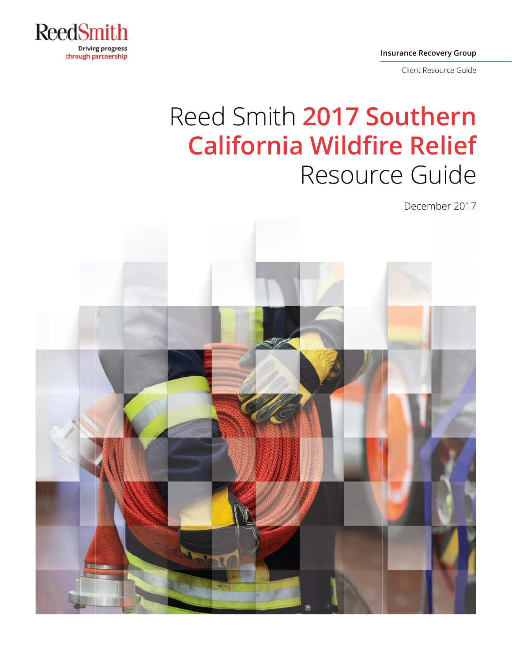

**Insurance Recovery Group** 

Client Resource Guide

# Reed Smith 2017 Southern **California Wildfire Relief** Resource Guide

December 2017

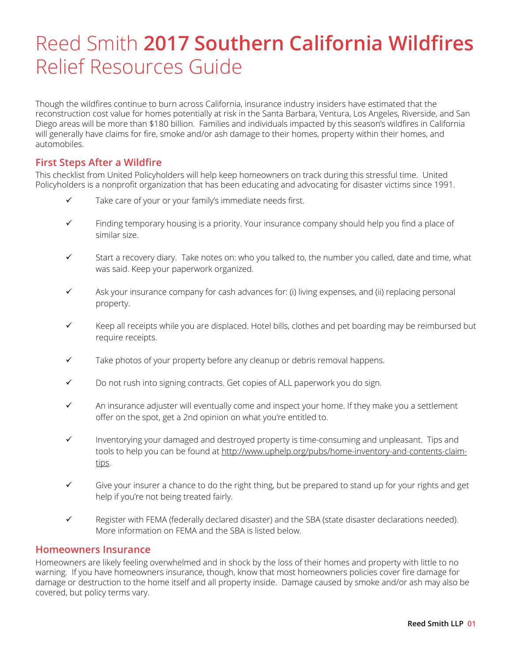## Reed Smith **2017 Southern California Wildfires** Relief Resources Guide

Though the wildfires continue to burn across California, insurance industry insiders have estimated that the reconstruction cost value for homes potentially at risk in the Santa Barbara, Ventura, Los Angeles, Riverside, and San Diego areas will be more than \$180 billion. Families and individuals impacted by this season's wildfires in California will generally have claims for fire, smoke and/or ash damage to their homes, property within their homes, and automobiles.

#### **First Steps After a Wildfire**

This checklist from United Policyholders will help keep homeowners on track during this stressful time. United Policyholders is a nonprofit organization that has been educating and advocating for disaster victims since 1991.

- $\checkmark$  Take care of your or your family's immediate needs first.
- $\checkmark$  Finding temporary housing is a priority. Your insurance company should help you find a place of similar size.
- $\checkmark$  Start a recovery diary. Take notes on: who you talked to, the number you called, date and time, what was said. Keep your paperwork organized.
- $\checkmark$  Ask your insurance company for cash advances for: (i) living expenses, and (ii) replacing personal property.
- $\checkmark$  Keep all receipts while you are displaced. Hotel bills, clothes and pet boarding may be reimbursed but require receipts.
- $\checkmark$  Take photos of your property before any cleanup or debris removal happens.
- $\checkmark$  Do not rush into signing contracts. Get copies of ALL paperwork you do sign.
- $\checkmark$  An insurance adjuster will eventually come and inspect your home. If they make you a settlement offer on the spot, get a 2nd opinion on what you're entitled to.
- $\checkmark$  Inventorying your damaged and destroyed property is time-consuming and unpleasant. Tips and tools to help you can be found at http://www.uphelp.org/pubs/home-inventory-and-contents-claimtips.
- Give your insurer a chance to do the right thing, but be prepared to stand up for your rights and get help if you're not being treated fairly.
- Register with FEMA (federally declared disaster) and the SBA (state disaster declarations needed). More information on FEMA and the SBA is listed below.

#### **Homeowners Insurance**

Homeowners are likely feeling overwhelmed and in shock by the loss of their homes and property with little to no warning. If you have homeowners insurance, though, know that most homeowners policies cover fire damage for damage or destruction to the home itself and all property inside. Damage caused by smoke and/or ash may also be covered, but policy terms vary.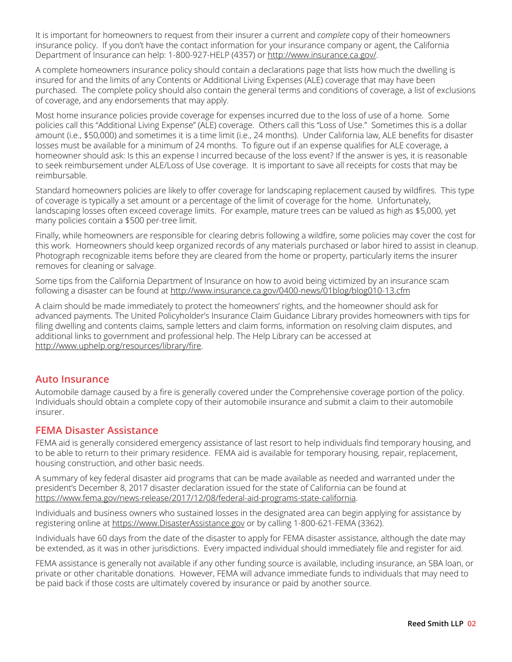It is important for homeowners to request from their insurer a current and *complete* copy of their homeowners insurance policy. If you don't have the contact information for your insurance company or agent, the California Department of Insurance can help: 1-800-927-HELP (4357) or http://www.insurance.ca.gov/.

A complete homeowners insurance policy should contain a declarations page that lists how much the dwelling is insured for and the limits of any Contents or Additional Living Expenses (ALE) coverage that may have been purchased. The complete policy should also contain the general terms and conditions of coverage, a list of exclusions of coverage, and any endorsements that may apply.

Most home insurance policies provide coverage for expenses incurred due to the loss of use of a home. Some policies call this "Additional Living Expense" (ALE) coverage. Others call this "Loss of Use." Sometimes this is a dollar amount (i.e., \$50,000) and sometimes it is a time limit (i.e., 24 months). Under California law, ALE benefits for disaster losses must be available for a minimum of 24 months. To figure out if an expense qualifies for ALE coverage, a homeowner should ask: Is this an expense I incurred because of the loss event? If the answer is yes, it is reasonable to seek reimbursement under ALE/Loss of Use coverage. It is important to save all receipts for costs that may be reimbursable.

Standard homeowners policies are likely to offer coverage for landscaping replacement caused by wildfires. This type of coverage is typically a set amount or a percentage of the limit of coverage for the home. Unfortunately, landscaping losses often exceed coverage limits. For example, mature trees can be valued as high as \$5,000, yet many policies contain a \$500 per-tree limit.

Finally, while homeowners are responsible for clearing debris following a wildfire, some policies may cover the cost for this work. Homeowners should keep organized records of any materials purchased or labor hired to assist in cleanup. Photograph recognizable items before they are cleared from the home or property, particularly items the insurer removes for cleaning or salvage.

Some tips from the California Department of Insurance on how to avoid being victimized by an insurance scam following a disaster can be found at http://www.insurance.ca.gov/0400-news/01blog/blog010-13.cfm

A claim should be made immediately to protect the homeowners' rights, and the homeowner should ask for advanced payments. The United Policyholder's Insurance Claim Guidance Library provides homeowners with tips for filing dwelling and contents claims, sample letters and claim forms, information on resolving claim disputes, and additional links to government and professional help. The Help Library can be accessed at http://www.uphelp.org/resources/library/fire.

#### **Auto Insurance**

Automobile damage caused by a fire is generally covered under the Comprehensive coverage portion of the policy. Individuals should obtain a complete copy of their automobile insurance and submit a claim to their automobile insurer.

#### **FEMA Disaster Assistance**

FEMA aid is generally considered emergency assistance of last resort to help individuals find temporary housing, and to be able to return to their primary residence. FEMA aid is available for temporary housing, repair, replacement, housing construction, and other basic needs.

A summary of key federal disaster aid programs that can be made available as needed and warranted under the president's December 8, 2017 disaster declaration issued for the state of California can be found at https://www.fema.gov/news-release/2017/12/08/federal-aid-programs-state-california.

Individuals and business owners who sustained losses in the designated area can begin applying for assistance by registering online at https://www.DisasterAssistance.gov or by calling 1-800-621-FEMA (3362).

Individuals have 60 days from the date of the disaster to apply for FEMA disaster assistance, although the date may be extended, as it was in other jurisdictions. Every impacted individual should immediately file and register for aid.

FEMA assistance is generally not available if any other funding source is available, including insurance, an SBA loan, or private or other charitable donations. However, FEMA will advance immediate funds to individuals that may need to be paid back if those costs are ultimately covered by insurance or paid by another source.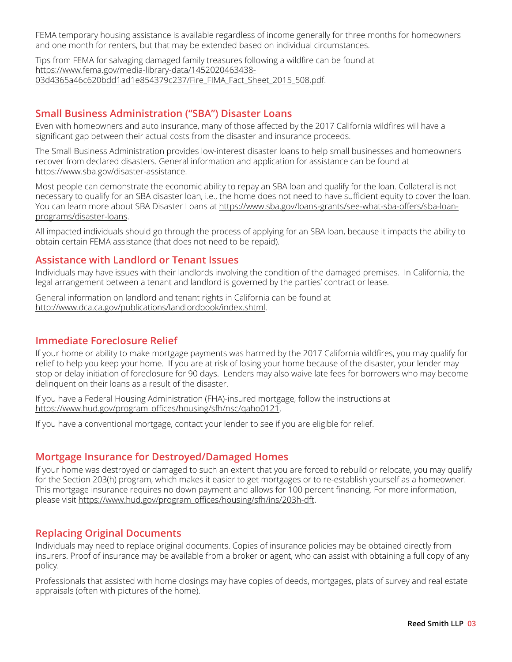FEMA temporary housing assistance is available regardless of income generally for three months for homeowners and one month for renters, but that may be extended based on individual circumstances.

Tips from FEMA for salvaging damaged family treasures following a wildfire can be found at https://www.fema.gov/media-library-data/1452020463438- 03d4365a46c620bdd1ad1e854379c237/Fire\_FIMA\_Fact\_Sheet\_2015\_508.pdf.

#### **Small Business Administration ("SBA") Disaster Loans**

Even with homeowners and auto insurance, many of those affected by the 2017 California wildfires will have a significant gap between their actual costs from the disaster and insurance proceeds.

The Small Business Administration provides low-interest disaster loans to help small businesses and homeowners recover from declared disasters. General information and application for assistance can be found at https://www.sba.gov/disaster-assistance.

Most people can demonstrate the economic ability to repay an SBA loan and qualify for the loan. Collateral is not necessary to qualify for an SBA disaster loan, i.e., the home does not need to have sufficient equity to cover the loan. You can learn more about SBA Disaster Loans at https://www.sba.gov/loans-grants/see-what-sba-offers/sba-loanprograms/disaster-loans.

All impacted individuals should go through the process of applying for an SBA loan, because it impacts the ability to obtain certain FEMA assistance (that does not need to be repaid).

#### **Assistance with Landlord or Tenant Issues**

Individuals may have issues with their landlords involving the condition of the damaged premises. In California, the legal arrangement between a tenant and landlord is governed by the parties' contract or lease.

General information on landlord and tenant rights in California can be found at http://www.dca.ca.gov/publications/landlordbook/index.shtml.

#### **Immediate Foreclosure Relief**

If your home or ability to make mortgage payments was harmed by the 2017 California wildfires, you may qualify for relief to help you keep your home. If you are at risk of losing your home because of the disaster, your lender may stop or delay initiation of foreclosure for 90 days. Lenders may also waive late fees for borrowers who may become delinquent on their loans as a result of the disaster.

If you have a Federal Housing Administration (FHA)-insured mortgage, follow the instructions at https://www.hud.gov/program\_offices/housing/sfh/nsc/gaho0121.

If you have a conventional mortgage, contact your lender to see if you are eligible for relief.

#### **Mortgage Insurance for Destroyed/Damaged Homes**

If your home was destroyed or damaged to such an extent that you are forced to rebuild or relocate, you may qualify for the Section 203(h) program, which makes it easier to get mortgages or to re-establish yourself as a homeowner. This mortgage insurance requires no down payment and allows for 100 percent financing. For more information, please visit https://www.hud.gov/program\_offices/housing/sfh/ins/203h-dft.

#### **Replacing Original Documents**

Individuals may need to replace original documents. Copies of insurance policies may be obtained directly from insurers. Proof of insurance may be available from a broker or agent, who can assist with obtaining a full copy of any policy.

Professionals that assisted with home closings may have copies of deeds, mortgages, plats of survey and real estate appraisals (often with pictures of the home).